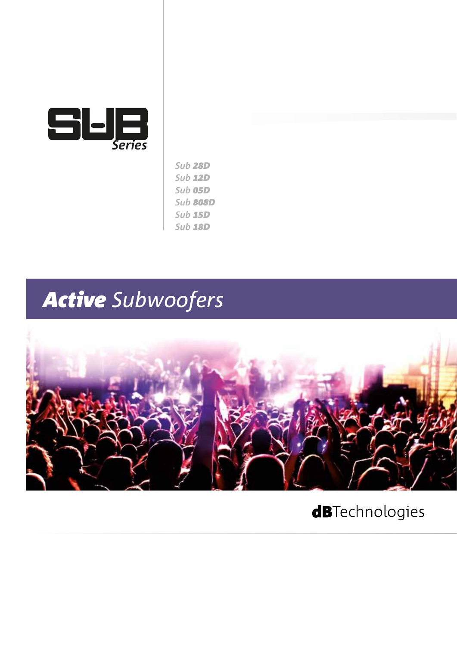

| <b>Sub 28D</b> |
|----------------|
| <b>Sub 12D</b> |
| Sub 05D        |
| Sub 808D       |
| <b>Sub 15D</b> |
| <b>Sub 18D</b> |

## *Active Subwoofers*



### **dB**Technologies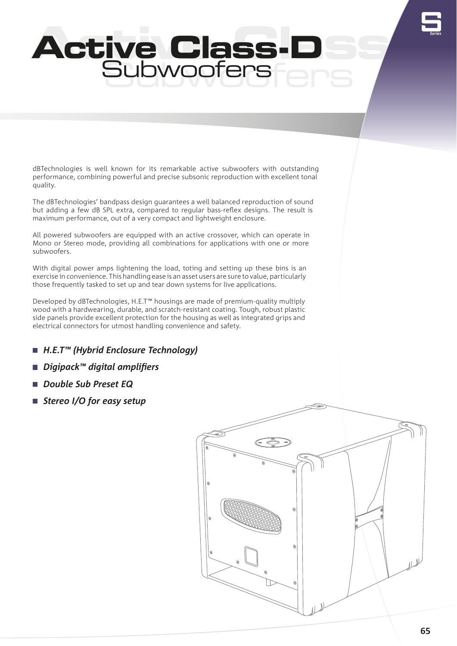# S*Series*

### Active Class-DSS Subwoofers **Canada Active Class-D Subwoofers**

dBTechnologies is well known for its remarkable active subwoofers with outstanding performance, combining powerful and precise subsonic reproduction with excellent tonal quality.

The dBTechnologies' bandpass design guarantees a well balanced reproduction of sound but adding a few dB SPL extra, compared to regular bass-reflex designs. The result is maximum performance, out of a very compact and lightweight enclosure.

All powered subwoofers are equipped with an active crossover, which can operate in Mono or Stereo mode, providing all combinations for applications with one or more subwoofers.

With digital power amps lightening the load, toting and setting up these bins is an exercise in convenience. This handling ease is an asset users are sure to value, particularly those frequently tasked to set up and tear down systems for live applications.

Developed by dBTechnologies, H.E.T™ housings are made of premium-quality multiply wood with a hardwearing, durable, and scratch-resistant coating. Tough, robust plastic side panels provide excellent protection for the housing as well as integrated grips and electrical connectors for utmost handling convenience and safety.

- *H.E.T™ (Hybrid Enclosure Technology)*
- *Digipack™ digital amplifiers*
- *Double Sub Preset EQ*
- *Stereo I/O for easy setup*

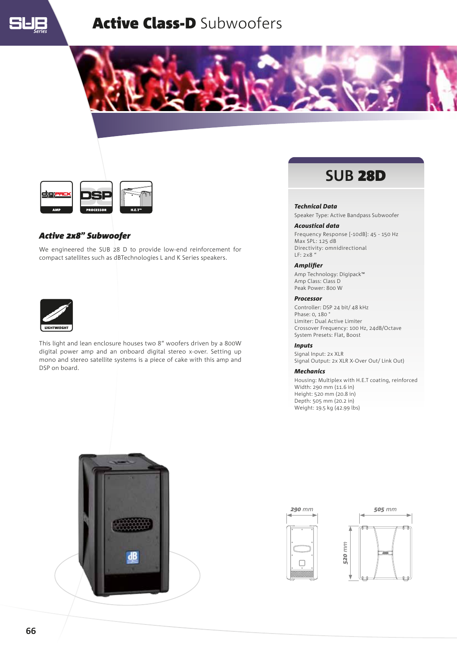

### **Active Class-D Subwoofers**





### *Active 2x8" Subwoofer*

We engineered the SUB 28 D to provide low-end reinforcement for compact satellites such as dBTechnologies L and K Series speakers.



This light and lean enclosure houses two 8" woofers driven by a 800W digital power amp and an onboard digital stereo x-over. Setting up mono and stereo satellite systems is a piece of cake with this amp and DSP on board.

### **SUB** 28D

### *Technical Data*

Speaker Type: Active Bandpass Subwoofer

#### *Acoustical data*

Frequency Response [-10dB]: 45 - 150 Hz Max SPL: 125 dB Directivity: omnidirectional LF: 2x8 "

### *Amplifier*

Amp Technology: Digipack™ Amp Class: Class D Peak Power: 800 W

#### *Processor*

Controller: DSP 24 bit/ 48 kHz Phase: 0, 180 ° Limiter: Dual Active Limiter Crossover Frequency: 100 Hz, 24dB/Octave System Presets: Flat, Boost

### *Inputs*

Signal Input: 2x XLR Signal Output: 2x XLR X-Over Out/ Link Out)

### *Mechanics*

Housing: Multiplex with H.E.T coating, reinforced Width: 290 mm (11.6 in) Height: 520 mm (20.8 in) Depth: 505 mm (20.2 in) Weight: 19.5 kg (42.99 lbs)





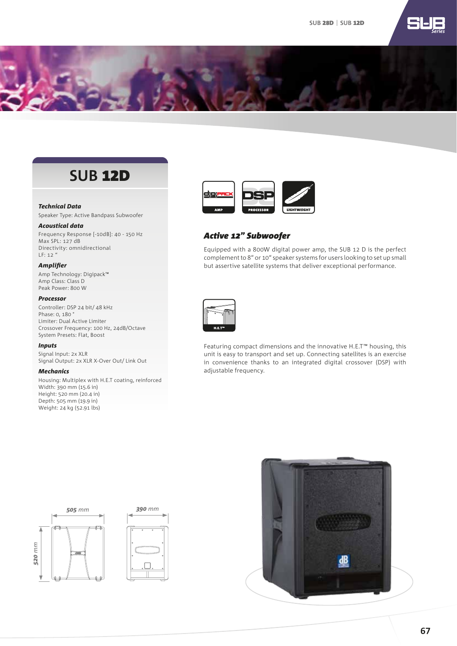

### **SUB** 12D

### *Technical Data*

Speaker Type: Active Bandpass Subwoofer

### *Acoustical data*

Frequency Response [-10dB]: 40 - 150 Hz Max SPL: 127 dB Directivity: omnidirectional LF: 12 "

### *Amplifier*

Amp Technology: Digipack™ Amp Class: Class D Peak Power: 800 W

### *Processor*

Controller: DSP 24 bit/ 48 kHz Phase: 0, 180 ° Limiter: Dual Active Limiter Crossover Frequency: 100 Hz, 24dB/Octave System Presets: Flat, Boost

### *Inputs*

Signal Input: 2x XLR Signal Output: 2x XLR X-Over Out/ Link Out

### *Mechanics*

Housing: Multiplex with H.E.T coating, reinforced Width: 390 mm (15.6 in) Height: 520 mm (20.4 in) Depth: 505 mm (19.9 in) Weight: 24 kg (52.91 lbs)



*Exceptionally Light and Remarkably Rugged*

### *Active 12" Subwoofer*

Equipped with a 800W digital power amp, the SUB 12 D is the perfect complement to 8" or 10" speaker systems for users looking to set up small but assertive satellite systems that deliver exceptional performance.



Featuring compact dimensions and the innovative H.E.T™ housing, this unit is easy to transport and set up. Connecting satellites is an exercise in convenience thanks to an integrated digital crossover (DSP) with adjustable frequency.



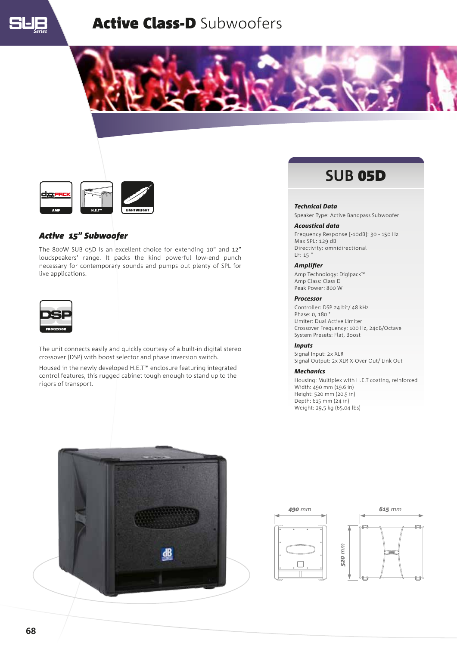

### Active Class-D Subwoofers





### *Active 15" Subwoofer*

The 800W SUB 05D is an excellent choice for extending 10" and 12" loudspeakers' range. It packs the kind powerful low-end punch necessary for contemporary sounds and pumps out plenty of SPL for live applications.



The unit connects easily and quickly courtesy of a built-in digital stereo crossover (DSP) with boost selector and phase inversion switch.

Housed in the newly developed H.E.T™ enclosure featuring integrated control features, this rugged cabinet tough enough to stand up to the rigors of transport.

### **SUB** 05D

### *Technical Data*

Speaker Type: Active Bandpass Subwoofer

#### *Acoustical data*

Frequency Response [-10dB]: 30 - 150 Hz Max SPL: 129 dB Directivity: omnidirectional LF: 15 "

### *Amplifier*

Amp Technology: Digipack™ Amp Class: Class D Peak Power: 800 W

#### *Processor*

Controller: DSP 24 bit/ 48 kHz Phase: 0, 180 ° Limiter: Dual Active Limiter Crossover Frequency: 100 Hz, 24dB/Octave System Presets: Flat, Boost

### *Inputs*

Signal Input: 2x XLR Signal Output: 2x XLR X-Over Out/ Link Out

#### *Mechanics*

Housing: Multiplex with H.E.T coating, reinforced Width: 490 mm (19.6 in) Height: 520 mm (20.5 in) Depth: 615 mm (24 in) Weight: 29,5 kg (65.04 lbs)





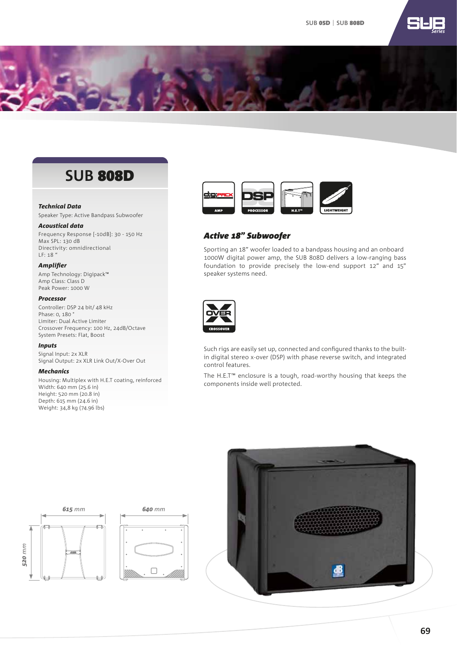

### **SUB** 808D

### *Technical Data*

Speaker Type: Active Bandpass Subwoofer

### *Acoustical data*

Frequency Response [-10dB]: 30 - 150 Hz Max SPL: 130 dB Directivity: omnidirectional LF: 18 "

### *Amplifier*

Amp Technology: Digipack™ Amp Class: Class D Peak Power: 1000 W

### *Processor*

Controller: DSP 24 bit/ 48 kHz Phase: 0, 180 ° Limiter: Dual Active Limiter Crossover Frequency: 100 Hz, 24dB/Octave System Presets: Flat, Boost

### *Inputs*

Signal Input: 2x XLR Signal Output: 2x XLR Link Out/X-Over Out

### *Mechanics*

Housing: Multiplex with H.E.T coating, reinforced Width: 640 mm (25.6 in) Height: 520 mm (20.8 in) Depth: 615 mm (24.6 in) Weight: 34,8 kg (74.96 lbs)



*Exceptionally Light and Remarkably Rugged*

### *Active 18" Subwoofer*

Sporting an 18" woofer loaded to a bandpass housing and an onboard 1000W digital power amp, the SUB 808D delivers a low-ranging bass foundation to provide precisely the low-end support 12" and 15" speaker systems need.



Such rigs are easily set up, connected and configured thanks to the builtin digital stereo x-over (DSP) with phase reverse switch, and integrated control features.

The H.E.T™ enclosure is a tough, road-worthy housing that keeps the components inside well protected.



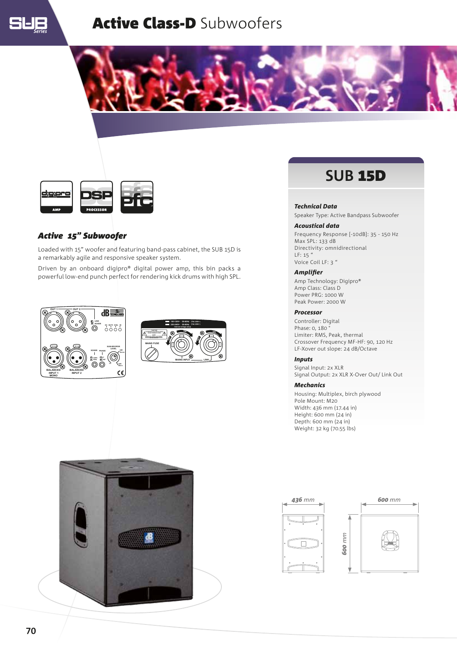

### **Active Class-D Subwoofers**





### *Active 15" Subwoofer*

Loaded with 15" woofer and featuring band-pass cabinet, the SUB 15D is a remarkably agile and responsive speaker system.

Driven by an onboard digipro® digital power amp, this bin packs a powerful low-end punch perfect for rendering kick drums with high SPL.







### **SUB** 15D

### *Technical Data*

Speaker Type: Active Bandpass Subwoofer

### *Acoustical data*

Frequency Response [-10dB]: 35 - 150 Hz Max SPL: 133 dB Directivity: omnidirectional LF: 15 " Voice Coil LF: 3 "

### *Amplifier*

Amp Technology: Digipro® Amp Class: Class D Power PRG: 1000 W Peak Power: 2000 W

#### *Processor*

Controller: Digital Phase: 0, 180 ° Limiter: RMS, Peak, thermal Crossover Frequency MF-HF: 90, 120 Hz LF-Xover out slope: 24 dB/Octave

### *Inputs*

Signal Input: 2x XLR Signal Output: 2x XLR X-Over Out/ Link Out

### *Mechanics*

Housing: Multiplex, birch plywood Pole Mount: M20 Width: 436 mm (17.44 in) Height: 600 mm (24 in) Depth: 600 mm (24 in) Weight: 32 kg (70.55 lbs)